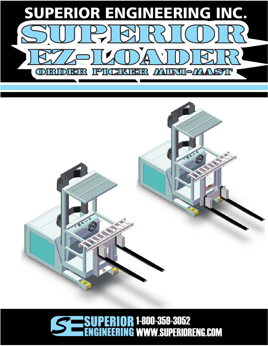

## 1-800-359-3052  $\mathbf{R}$ 0 F. WWW.SUPERIORENG.COM**NG** 1